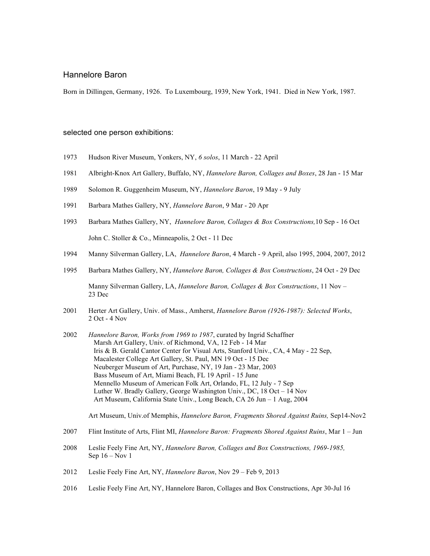### Hannelore Baron

23 Dec

Born in Dillingen, Germany, 1926. To Luxembourg, 1939, New York, 1941. Died in New York, 1987.

#### selected one person exhibitions:

- 1973 Hudson River Museum, Yonkers, NY, *6 solos*, 11 March 22 April
- 1981 Albright-Knox Art Gallery, Buffalo, NY, *Hannelore Baron, Collages and Boxes*, 28 Jan 15 Mar
- 1989 Solomon R. Guggenheim Museum, NY, *Hannelore Baron*, 19 May 9 July
- 1991 Barbara Mathes Gallery, NY, *Hannelore Baron*, 9 Mar 20 Apr
- 1993 Barbara Mathes Gallery, NY, *Hannelore Baron, Collages & Box Constructions,*10 Sep 16 Oct John C. Stoller & Co., Minneapolis, 2 Oct - 11 Dec
- 1994 Manny Silverman Gallery, LA, *Hannelore Baron*, 4 March 9 April, also 1995, 2004, 2007, 2012
- 1995 Barbara Mathes Gallery, NY, *Hannelore Baron, Collages & Box Constructions*, 24 Oct 29 Dec Manny Silverman Gallery, LA, *Hannelore Baron, Collages & Box Constructions*, 11 Nov –
- 2001 Herter Art Gallery, Univ. of Mass., Amherst, *Hannelore Baron (1926-1987): Selected Works*, 2 Oct - 4 Nov
- 2002 *Hannelore Baron, Works from 1969 to 1987*, curated by Ingrid Schaffner Marsh Art Gallery, Univ. of Richmond, VA, 12 Feb - 14 Mar Iris & B. Gerald Cantor Center for Visual Arts, Stanford Univ., CA, 4 May - 22 Sep, Macalester College Art Gallery, St. Paul, MN 19 Oct - 15 Dec Neuberger Museum of Art, Purchase, NY, 19 Jan - 23 Mar, 2003 Bass Museum of Art, Miami Beach, FL 19 April - 15 June Mennello Museum of American Folk Art, Orlando, FL, 12 July - 7 Sep Luther W. Bradly Gallery, George Washington Univ., DC, 18 Oct – 14 Nov Art Museum, California State Univ., Long Beach, CA 26 Jun – 1 Aug, 2004

Art Museum, Univ.of Memphis, *Hannelore Baron, Fragments Shored Against Ruins,* Sep14-Nov2

- 2007 Flint Institute of Arts, Flint MI, *Hannelore Baron: Fragments Shored Against Ruins*, Mar 1 Jun
- 2008 Leslie Feely Fine Art, NY, *Hannelore Baron, Collages and Box Constructions, 1969-1985,* Sep 16 – Nov 1
- 2012 Leslie Feely Fine Art, NY, *Hannelore Baron*, Nov 29 Feb 9, 2013
- 2016 Leslie Feely Fine Art, NY, Hannelore Baron, Collages and Box Constructions, Apr 30-Jul 16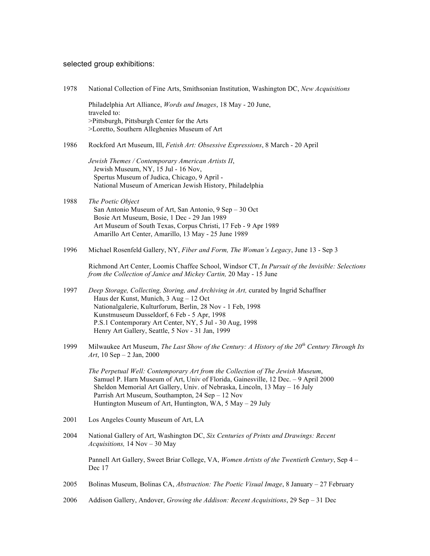## selected group exhibitions:

| 1978 | National Collection of Fine Arts, Smithsonian Institution, Washington DC, New Acquisitions                                                                                                                                                                                                                                                                          |
|------|---------------------------------------------------------------------------------------------------------------------------------------------------------------------------------------------------------------------------------------------------------------------------------------------------------------------------------------------------------------------|
|      | Philadelphia Art Alliance, Words and Images, 18 May - 20 June,<br>traveled to:<br>>Pittsburgh, Pittsburgh Center for the Arts<br>>Loretto, Southern Alleghenies Museum of Art                                                                                                                                                                                       |
| 1986 | Rockford Art Museum, Ill, Fetish Art: Obsessive Expressions, 8 March - 20 April                                                                                                                                                                                                                                                                                     |
|      | Jewish Themes / Contemporary American Artists II,<br>Jewish Museum, NY, 15 Jul - 16 Nov,<br>Spertus Museum of Judica, Chicago, 9 April -<br>National Museum of American Jewish History, Philadelphia                                                                                                                                                                |
| 1988 | The Poetic Object<br>San Antonio Museum of Art, San Antonio, 9 Sep – 30 Oct<br>Bosie Art Museum, Bosie, 1 Dec - 29 Jan 1989<br>Art Museum of South Texas, Corpus Christi, 17 Feb - 9 Apr 1989<br>Amarillo Art Center, Amarillo, 13 May - 25 June 1989                                                                                                               |
| 1996 | Michael Rosenfeld Gallery, NY, Fiber and Form, The Woman's Legacy, June 13 - Sep 3                                                                                                                                                                                                                                                                                  |
|      | Richmond Art Center, Loomis Chaffee School, Windsor CT, In Pursuit of the Invisible: Selections<br>from the Collection of Janice and Mickey Cartin, 20 May - 15 June                                                                                                                                                                                                |
| 1997 | Deep Storage, Collecting, Storing, and Archiving in Art, curated by Ingrid Schaffner<br>Haus der Kunst, Munich, 3 Aug - 12 Oct<br>Nationalgalerie, Kulturforum, Berlin, 28 Nov - 1 Feb, 1998<br>Kunstmuseum Dusseldorf, 6 Feb - 5 Apr, 1998<br>P.S.1 Contemporary Art Center, NY, 5 Jul - 30 Aug, 1998<br>Henry Art Gallery, Seattle, 5 Nov - 31 Jan, 1999          |
| 1999 | Milwaukee Art Museum, The Last Show of the Century: A History of the 20 <sup>th</sup> Century Through Its<br>Art, 10 Sep - 2 Jan, 2000                                                                                                                                                                                                                              |
|      | The Perpetual Well: Contemporary Art from the Collection of The Jewish Museum,<br>Samuel P. Harn Museum of Art, Univ of Florida, Gainesville, 12 Dec. - 9 April 2000<br>Sheldon Memorial Art Gallery, Univ. of Nebraska, Lincoln, 13 May - 16 July<br>Parrish Art Museum, Southampton, 24 Sep - 12 Nov<br>Huntington Museum of Art, Huntington, WA, 5 May - 29 July |
| 2001 | Los Angeles County Museum of Art, LA                                                                                                                                                                                                                                                                                                                                |
| 2004 | National Gallery of Art, Washington DC, Six Centuries of Prints and Drawings: Recent<br>Acquisitions, 14 Nov - 30 May                                                                                                                                                                                                                                               |
|      | Pannell Art Gallery, Sweet Briar College, VA, Women Artists of the Twentieth Century, Sep 4 –<br>Dec 17                                                                                                                                                                                                                                                             |
| 2005 | Bolinas Museum, Bolinas CA, Abstraction: The Poetic Visual Image, 8 January – 27 February                                                                                                                                                                                                                                                                           |
| 2006 | Addison Gallery, Andover, <i>Growing the Addison: Recent Acquisitions</i> , 29 Sep $-31$ Dec                                                                                                                                                                                                                                                                        |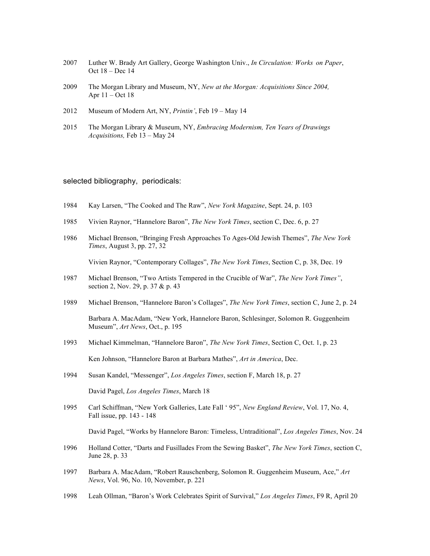- 2007 Luther W. Brady Art Gallery, George Washington Univ., *In Circulation: Works on Paper*, Oct 18 – Dec 14
- 2009 The Morgan Library and Museum, NY, *New at the Morgan: Acquisitions Since 2004,* Apr 11 – Oct 18
- 2012 Museum of Modern Art, NY, *Printin'*, Feb 19 May 14
- 2015 The Morgan Library & Museum, NY, *Embracing Modernism, Ten Years of Drawings Acquisitions,* Feb 13 – May 24

#### selected bibliography, periodicals:

- 1984 Kay Larsen, "The Cooked and The Raw", *New York Magazine*, Sept. 24, p. 103
- 1985 Vivien Raynor, "Hannelore Baron", *The New York Times*, section C, Dec. 6, p. 27
- 1986 Michael Brenson, "Bringing Fresh Approaches To Ages-Old Jewish Themes", *The New York Times*, August 3, pp. 27, 32

Vivien Raynor, "Contemporary Collages", *The New York Times*, Section C, p. 38, Dec. 19

- 1987 Michael Brenson, "Two Artists Tempered in the Crucible of War", *The New York Times"*, section 2, Nov. 29, p. 37 & p. 43
- 1989 Michael Brenson, "Hannelore Baron's Collages", *The New York Times*, section C, June 2, p. 24

Barbara A. MacAdam, "New York, Hannelore Baron, Schlesinger, Solomon R. Guggenheim Museum", *Art News*, Oct., p. 195

- 1993 Michael Kimmelman, "Hannelore Baron", *The New York Times*, Section C, Oct. 1, p. 23 Ken Johnson, "Hannelore Baron at Barbara Mathes", *Art in America*, Dec.
- 1994 Susan Kandel, "Messenger", *Los Angeles Times*, section F, March 18, p. 27 David Pagel, *Los Angeles Times*, March 18
- 1995 Carl Schiffman, "New York Galleries, Late Fall ' 95", *New England Review*, Vol. 17, No. 4, Fall issue, pp. 143 - 148

David Pagel, "Works by Hannelore Baron: Timeless, Untraditional", *Los Angeles Times*, Nov. 24

- 1996 Holland Cotter, "Darts and Fusillades From the Sewing Basket", *The New York Times*, section C, June 28, p. 33
- 1997 Barbara A. MacAdam, "Robert Rauschenberg, Solomon R. Guggenheim Museum, Ace," *Art News*, Vol. 96, No. 10, November, p. 221
- 1998 Leah Ollman, "Baron's Work Celebrates Spirit of Survival," *Los Angeles Times*, F9 R, April 20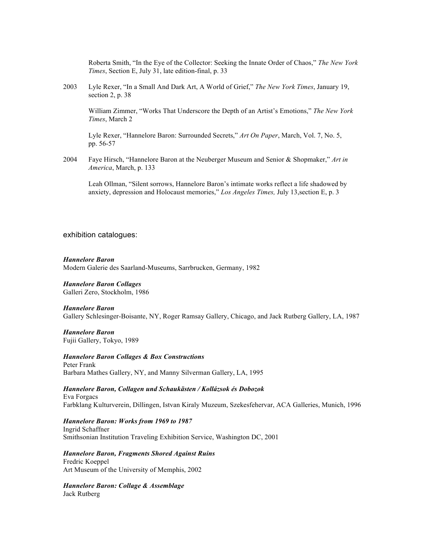Roberta Smith, "In the Eye of the Collector: Seeking the Innate Order of Chaos," *The New York Times*, Section E, July 31, late edition-final, p. 33

2003 Lyle Rexer, "In a Small And Dark Art, A World of Grief," *The New York Times*, January 19, section 2, p. 38

William Zimmer, "Works That Underscore the Depth of an Artist's Emotions," *The New York Times*, March 2

Lyle Rexer, "Hannelore Baron: Surrounded Secrets," *Art On Paper*, March, Vol. 7, No. 5, pp. 56-57

2004 Faye Hirsch, "Hannelore Baron at the Neuberger Museum and Senior & Shopmaker," *Art in America*, March, p. 133

Leah Ollman, "Silent sorrows, Hannelore Baron's intimate works reflect a life shadowed by anxiety, depression and Holocaust memories," *Los Angeles Times,* July 13,section E, p. 3

exhibition catalogues:

#### *Hannelore Baron* Modern Galerie des Saarland-Museums, Sarrbrucken, Germany, 1982

*Hannelore Baron Collages* Galleri Zero, Stockholm, 1986

#### *Hannelore Baron*

Gallery Schlesinger-Boisante, NY, Roger Ramsay Gallery, Chicago, and Jack Rutberg Gallery, LA, 1987

# *Hannelore Baron*

Fujii Gallery, Tokyo, 1989

*Hannelore Baron Collages & Box Constructions* Peter Frank Barbara Mathes Gallery, NY, and Manny Silverman Gallery, LA, 1995

*Hannelore Baron, Collagen und Schaukästen / Kollázsok és Dobozok* Eva Forgacs Farbklang Kulturverein, Dillingen, Istvan Kiraly Muzeum, Szekesfehervar, ACA Galleries, Munich, 1996

*Hannelore Baron: Works from 1969 to 1987* Ingrid Schaffner Smithsonian Institution Traveling Exhibition Service, Washington DC, 2001

*Hannelore Baron, Fragments Shored Against Ruins* Fredric Koeppel Art Museum of the University of Memphis, 2002

*Hannelore Baron: Collage & Assemblage* Jack Rutberg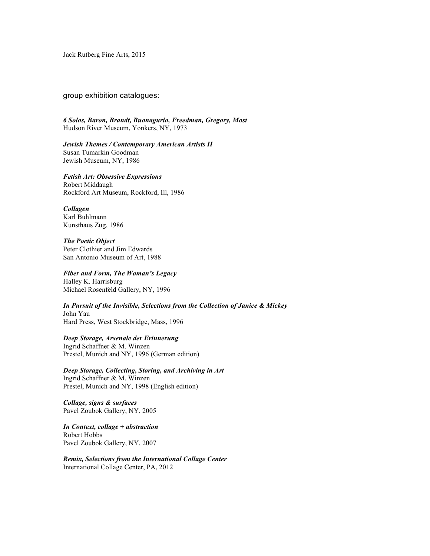Jack Rutberg Fine Arts, 2015

group exhibition catalogues:

*6 Solos, Baron, Brandt, Buonagurio, Freedman, Gregory, Most* Hudson River Museum, Yonkers, NY, 1973

*Jewish Themes / Contemporary American Artists II* Susan Tumarkin Goodman Jewish Museum, NY, 1986

*Fetish Art: Obsessive Expressions* Robert Middaugh Rockford Art Museum, Rockford, Ill, 1986

*Collagen* Karl Buhlmann Kunsthaus Zug, 1986

*The Poetic Object* Peter Clothier and Jim Edwards San Antonio Museum of Art, 1988

*Fiber and Form, The Woman's Legacy* Halley K. Harrisburg Michael Rosenfeld Gallery, NY, 1996

*In Pursuit of the Invisible, Selections from the Collection of Janice & Mickey* John Yau Hard Press, West Stockbridge, Mass, 1996

*Deep Storage, Arsenale der Erinnerung* Ingrid Schaffner & M. Winzen Prestel, Munich and NY, 1996 (German edition)

*Deep Storage, Collecting, Storing, and Archiving in Art* Ingrid Schaffner & M. Winzen Prestel, Munich and NY, 1998 (English edition)

*Collage, signs & surfaces* Pavel Zoubok Gallery, NY, 2005

*In Context, collage + abstraction* Robert Hobbs Pavel Zoubok Gallery, NY, 2007

*Remix, Selections from the International Collage Center* International Collage Center, PA, 2012